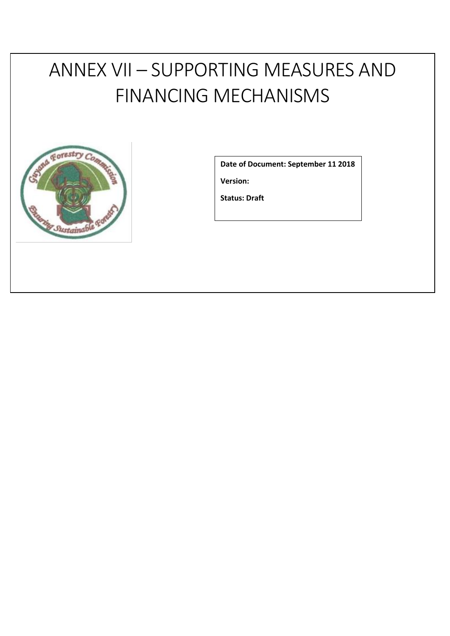# ANNEX VII – SUPPORTING MEASURES AND FINANCING MECHANISMS



**Date of Document: September 11 2018**

**Version:** 

**Status: Draft**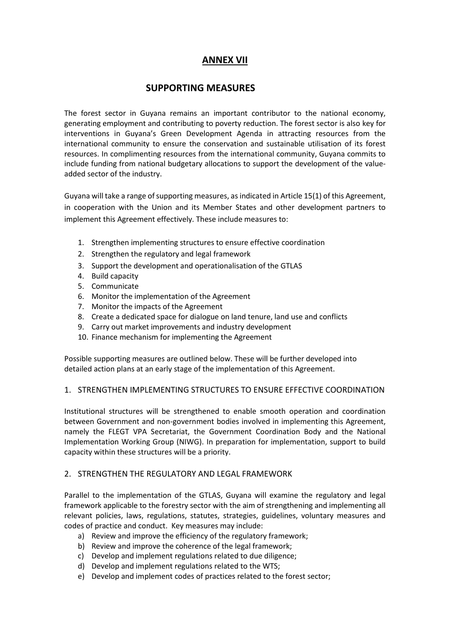## **ANNEX VII**

## **SUPPORTING MEASURES**

The forest sector in Guyana remains an important contributor to the national economy, generating employment and contributing to poverty reduction. The forest sector is also key for interventions in Guyana's Green Development Agenda in attracting resources from the international community to ensure the conservation and sustainable utilisation of its forest resources. In complimenting resources from the international community, Guyana commits to include funding from national budgetary allocations to support the development of the valueadded sector of the industry.

Guyana will take a range of supporting measures, as indicated in Article 15(1) of this Agreement, in cooperation with the Union and its Member States and other development partners to implement this Agreement effectively. These include measures to:

- 1. Strengthen implementing structures to ensure effective coordination
- 2. Strengthen the regulatory and legal framework
- 3. Support the development and operationalisation of the GTLAS
- 4. Build capacity
- 5. Communicate
- 6. Monitor the implementation of the Agreement
- 7. Monitor the impacts of the Agreement
- 8. Create a dedicated space for dialogue on land tenure, land use and conflicts
- 9. Carry out market improvements and industry development
- 10. Finance mechanism for implementing the Agreement

Possible supporting measures are outlined below. These will be further developed into detailed action plans at an early stage of the implementation of this Agreement.

#### 1. STRENGTHEN IMPLEMENTING STRUCTURES TO ENSURE EFFECTIVE COORDINATION

Institutional structures will be strengthened to enable smooth operation and coordination between Government and non-government bodies involved in implementing this Agreement, namely the FLEGT VPA Secretariat, the Government Coordination Body and the National Implementation Working Group (NIWG). In preparation for implementation, support to build capacity within these structures will be a priority.

#### 2. STRENGTHEN THE REGULATORY AND LEGAL FRAMEWORK

Parallel to the implementation of the GTLAS, Guyana will examine the regulatory and legal framework applicable to the forestry sector with the aim of strengthening and implementing all relevant policies, laws, regulations, statutes, strategies, guidelines, voluntary measures and codes of practice and conduct. Key measures may include:

- a) Review and improve the efficiency of the regulatory framework;
- b) Review and improve the coherence of the legal framework;
- c) Develop and implement regulations related to due diligence;
- d) Develop and implement regulations related to the WTS;
- e) Develop and implement codes of practices related to the forest sector;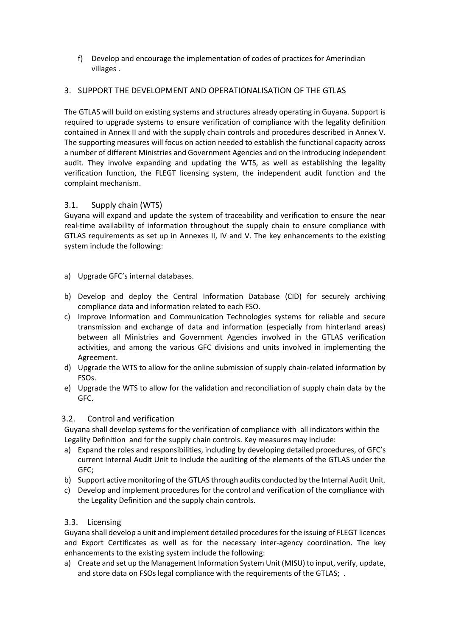f) Develop and encourage the implementation of codes of practices for Amerindian villages .

## 3. SUPPORT THE DEVELOPMENT AND OPERATIONALISATION OF THE GTLAS

The GTLAS will build on existing systems and structures already operating in Guyana. Support is required to upgrade systems to ensure verification of compliance with the legality definition contained in Annex II and with the supply chain controls and procedures described in Annex V. The supporting measures will focus on action needed to establish the functional capacity across a number of different Ministries and Government Agencies and on the introducing independent audit. They involve expanding and updating the WTS, as well as establishing the legality verification function, the FLEGT licensing system, the independent audit function and the complaint mechanism.

### 3.1. Supply chain (WTS)

Guyana will expand and update the system of traceability and verification to ensure the near real-time availability of information throughout the supply chain to ensure compliance with GTLAS requirements as set up in Annexes II, IV and V. The key enhancements to the existing system include the following:

- a) Upgrade GFC's internal databases.
- b) Develop and deploy the Central Information Database (CID) for securely archiving compliance data and information related to each FSO.
- c) Improve Information and Communication Technologies systems for reliable and secure transmission and exchange of data and information (especially from hinterland areas) between all Ministries and Government Agencies involved in the GTLAS verification activities, and among the various GFC divisions and units involved in implementing the Agreement.
- d) Upgrade the WTS to allow for the online submission of supply chain-related information by FSOs.
- e) Upgrade the WTS to allow for the validation and reconciliation of supply chain data by the GFC.

#### 3.2. Control and verification

Guyana shall develop systems for the verification of compliance with all indicators within the Legality Definition and for the supply chain controls. Key measures may include:

- a) Expand the roles and responsibilities, including by developing detailed procedures, of GFC's current Internal Audit Unit to include the auditing of the elements of the GTLAS under the GFC;
- b) Support active monitoring of the GTLAS through audits conducted by the Internal Audit Unit.
- c) Develop and implement procedures for the control and verification of the compliance with the Legality Definition and the supply chain controls.

#### 3.3. Licensing

Guyana shall develop a unit and implement detailed procedures for the issuing of FLEGT licences and Export Certificates as well as for the necessary inter-agency coordination. The key enhancements to the existing system include the following:

a) Create and set up the Management Information System Unit (MISU) to input, verify, update, and store data on FSOs legal compliance with the requirements of the GTLAS; .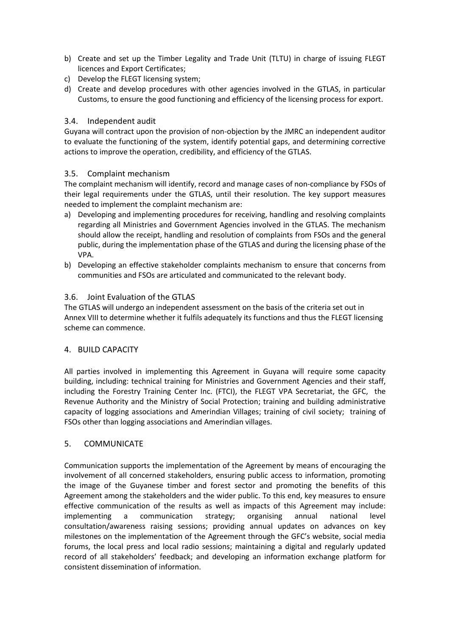- b) Create and set up the Timber Legality and Trade Unit (TLTU) in charge of issuing FLEGT licences and Export Certificates;
- c) Develop the FLEGT licensing system;
- d) Create and develop procedures with other agencies involved in the GTLAS, in particular Customs, to ensure the good functioning and efficiency of the licensing process for export.

### 3.4. Independent audit

Guyana will contract upon the provision of non-objection by the JMRC an independent auditor to evaluate the functioning of the system, identify potential gaps, and determining corrective actions to improve the operation, credibility, and efficiency of the GTLAS.

### 3.5. Complaint mechanism

The complaint mechanism will identify, record and manage cases of non-compliance by FSOs of their legal requirements under the GTLAS, until their resolution. The key support measures needed to implement the complaint mechanism are:

- a) Developing and implementing procedures for receiving, handling and resolving complaints regarding all Ministries and Government Agencies involved in the GTLAS. The mechanism should allow the receipt, handling and resolution of complaints from FSOs and the general public, during the implementation phase of the GTLAS and during the licensing phase of the VPA.
- b) Developing an effective stakeholder complaints mechanism to ensure that concerns from communities and FSOs are articulated and communicated to the relevant body.

### 3.6. Joint Evaluation of the GTLAS

The GTLAS will undergo an independent assessment on the basis of the criteria set out in Annex VIII to determine whether it fulfils adequately its functions and thus the FLEGT licensing scheme can commence.

#### 4. BUILD CAPACITY

All parties involved in implementing this Agreement in Guyana will require some capacity building, including: technical training for Ministries and Government Agencies and their staff, including the Forestry Training Center Inc. (FTCI), the FLEGT VPA Secretariat, the GFC, the Revenue Authority and the Ministry of Social Protection; training and building administrative capacity of logging associations and Amerindian Villages; training of civil society; training of FSOs other than logging associations and Amerindian villages.

#### 5. COMMUNICATE

Communication supports the implementation of the Agreement by means of encouraging the involvement of all concerned stakeholders, ensuring public access to information, promoting the image of the Guyanese timber and forest sector and promoting the benefits of this Agreement among the stakeholders and the wider public. To this end, key measures to ensure effective communication of the results as well as impacts of this Agreement may include: implementing a communication strategy; organising annual national level consultation/awareness raising sessions; providing annual updates on advances on key milestones on the implementation of the Agreement through the GFC's website, social media forums, the local press and local radio sessions; maintaining a digital and regularly updated record of all stakeholders' feedback; and developing an information exchange platform for consistent dissemination of information.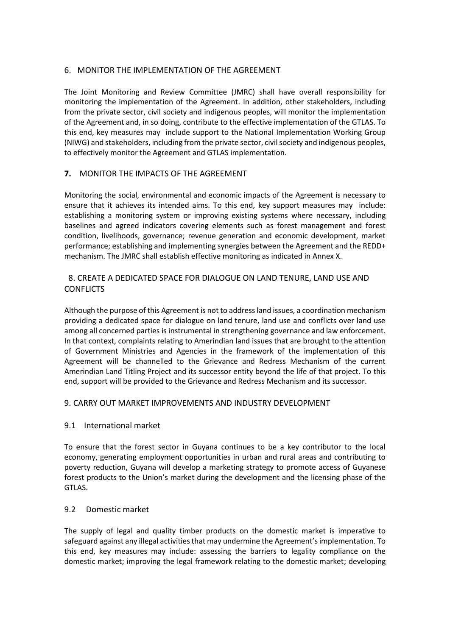#### 6.MONITOR THE IMPLEMENTATION OF THE AGREEMENT

The Joint Monitoring and Review Committee (JMRC) shall have overall responsibility for monitoring the implementation of the Agreement. In addition, other stakeholders, including from the private sector, civil society and indigenous peoples, will monitor the implementation of the Agreement and, in so doing, contribute to the effective implementation of the GTLAS. To this end, key measures may include support to the National Implementation Working Group (NIWG) and stakeholders, including from the private sector, civil society and indigenous peoples, to effectively monitor the Agreement and GTLAS implementation.

#### **7.** MONITOR THE IMPACTS OF THE AGREEMENT

Monitoring the social, environmental and economic impacts of the Agreement is necessary to ensure that it achieves its intended aims. To this end, key support measures may include: establishing a monitoring system or improving existing systems where necessary, including baselines and agreed indicators covering elements such as forest management and forest condition, livelihoods, governance; revenue generation and economic development, market performance; establishing and implementing synergies between the Agreement and the REDD+ mechanism. The JMRC shall establish effective monitoring as indicated in Annex X.

#### 8. CREATE A DEDICATED SPACE FOR DIALOGUE ON LAND TENURE, LAND USE AND CONFLICTS

Although the purpose of this Agreement is not to address land issues, a coordination mechanism providing a dedicated space for dialogue on land tenure, land use and conflicts over land use among all concerned parties is instrumental in strengthening governance and law enforcement. In that context, complaints relating to Amerindian land issues that are brought to the attention of Government Ministries and Agencies in the framework of the implementation of this Agreement will be channelled to the Grievance and Redress Mechanism of the current Amerindian Land Titling Project and its successor entity beyond the life of that project. To this end, support will be provided to the Grievance and Redress Mechanism and its successor.

#### 9. CARRY OUT MARKET IMPROVEMENTS AND INDUSTRY DEVELOPMENT

#### 9.1 International market

To ensure that the forest sector in Guyana continues to be a key contributor to the local economy, generating employment opportunities in urban and rural areas and contributing to poverty reduction, Guyana will develop a marketing strategy to promote access of Guyanese forest products to the Union's market during the development and the licensing phase of the GTLAS.

#### 9.2 Domestic market

The supply of legal and quality timber products on the domestic market is imperative to safeguard against any illegal activities that may undermine the Agreement'simplementation. To this end, key measures may include: assessing the barriers to legality compliance on the domestic market; improving the legal framework relating to the domestic market; developing